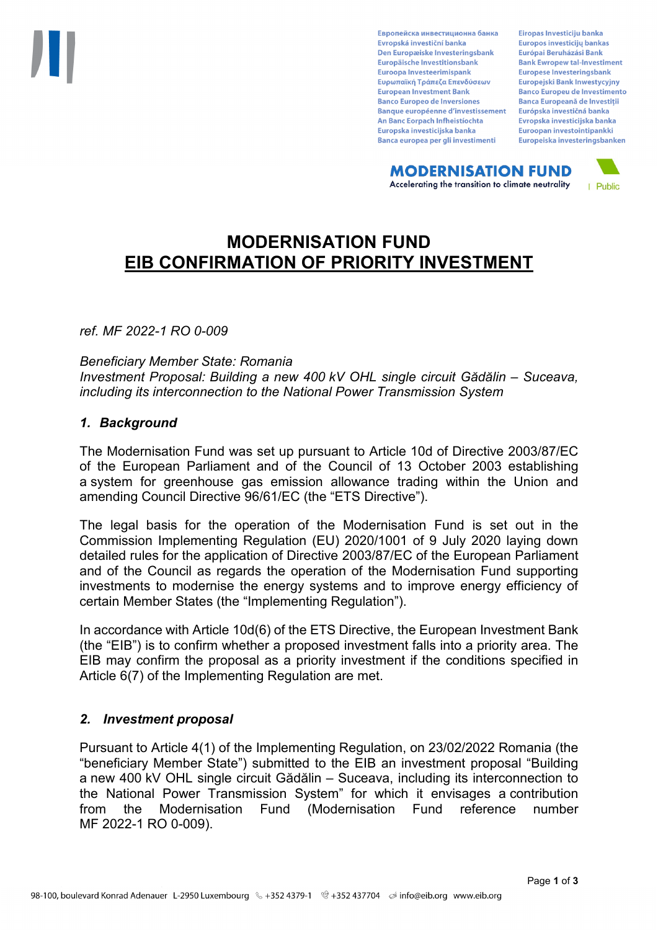Европейска инвестиционна банка Evropská investiční banka Den Europæiske Investeringsbank Europäische Investitionsbank Euroopa Investeerimispank Ευρωπαϊκή Τράπεζα Επενδύσεων **European Investment Bank Banco Europeo de Inversiones Banque européenne d'investissement** An Banc Eorpach Infheistíochta Europska investicijska banka Banca europea per gli investimenti

Eiropas Investīciju banka Europos investicijų bankas Európai Beruházási Bank **Bank Ewropew tal-Investiment** Europese Investeringsbank **Europeiski Bank Inwestycviny Banco Europeu de Investimento Banca Europeană de Investiții** Európska investičná banka Evropska investicijska banka Euroopan investointipankki Europeiska investeringsbanken

**MODERNISATION FUND** Accelerating the transition to climate neutrality



# **MODERNISATION FUND EIB CONFIRMATION OF PRIORITY INVESTMENT**

*ref. MF 2022-1 RO 0-009*

*Beneficiary Member State: Romania Investment Proposal: Building a new 400 kV OHL single circuit Gădălin – Suceava, including its interconnection to the National Power Transmission System*

### *1. Background*

The Modernisation Fund was set up pursuant to Article 10d of Directive 2003/87/EC of the European Parliament and of the Council of 13 October 2003 establishing a system for greenhouse gas emission allowance trading within the Union and amending Council Directive 96/61/EC (the "ETS Directive").

The legal basis for the operation of the Modernisation Fund is set out in the Commission Implementing Regulation (EU) 2020/1001 of 9 July 2020 laying down detailed rules for the application of Directive 2003/87/EC of the European Parliament and of the Council as regards the operation of the Modernisation Fund supporting investments to modernise the energy systems and to improve energy efficiency of certain Member States (the "Implementing Regulation").

In accordance with Article 10d(6) of the ETS Directive, the European Investment Bank (the "EIB") is to confirm whether a proposed investment falls into a priority area. The EIB may confirm the proposal as a priority investment if the conditions specified in Article 6(7) of the Implementing Regulation are met.

### *2. Investment proposal*

Pursuant to Article 4(1) of the Implementing Regulation, on 23/02/2022 Romania (the "beneficiary Member State") submitted to the EIB an investment proposal "Building a new 400 kV OHL single circuit Gădălin – Suceava, including its interconnection to the National Power Transmission System" for which it envisages a contribution from the Modernisation Fund (Modernisation Fund reference number MF 2022-1 RO 0-009).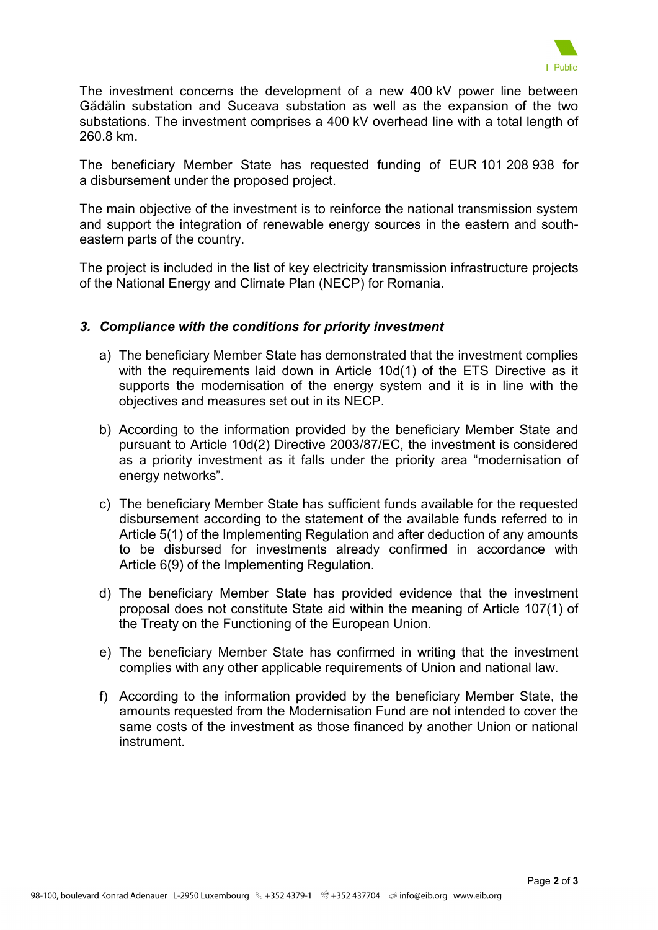

The investment concerns the development of a new 400 kV power line between Gădălin substation and Suceava substation as well as the expansion of the two substations. The investment comprises a 400 kV overhead line with a total length of 260.8 km.

The beneficiary Member State has requested funding of EUR 101 208 938 for a disbursement under the proposed project.

The main objective of the investment is to reinforce the national transmission system and support the integration of renewable energy sources in the eastern and southeastern parts of the country.

The project is included in the list of key electricity transmission infrastructure projects of the National Energy and Climate Plan (NECP) for Romania.

### *3. Compliance with the conditions for priority investment*

- a) The beneficiary Member State has demonstrated that the investment complies with the requirements laid down in Article 10d(1) of the ETS Directive as it supports the modernisation of the energy system and it is in line with the objectives and measures set out in its NECP.
- b) According to the information provided by the beneficiary Member State and pursuant to Article 10d(2) Directive 2003/87/EC, the investment is considered as a priority investment as it falls under the priority area "modernisation of energy networks".
- c) The beneficiary Member State has sufficient funds available for the requested disbursement according to the statement of the available funds referred to in Article 5(1) of the Implementing Regulation and after deduction of any amounts to be disbursed for investments already confirmed in accordance with Article 6(9) of the Implementing Regulation.
- d) The beneficiary Member State has provided evidence that the investment proposal does not constitute State aid within the meaning of Article 107(1) of the Treaty on the Functioning of the European Union.
- e) The beneficiary Member State has confirmed in writing that the investment complies with any other applicable requirements of Union and national law.
- f) According to the information provided by the beneficiary Member State, the amounts requested from the Modernisation Fund are not intended to cover the same costs of the investment as those financed by another Union or national instrument.